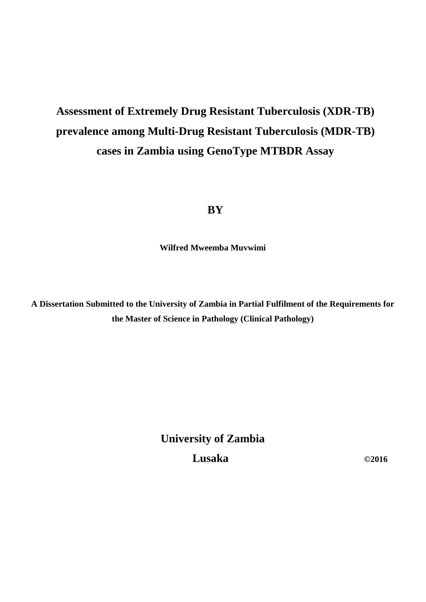# **Assessment of Extremely Drug Resistant Tuberculosis (XDR-TB) prevalence among Multi-Drug Resistant Tuberculosis (MDR-TB) cases in Zambia using GenoType MTBDR Assay**

## **BY**

**Wilfred Mweemba Muvwimi**

**A Dissertation Submitted to the University of Zambia in Partial Fulfilment of the Requirements for the Master of Science in Pathology (Clinical Pathology)**

**University of Zambia Lusaka** ©2016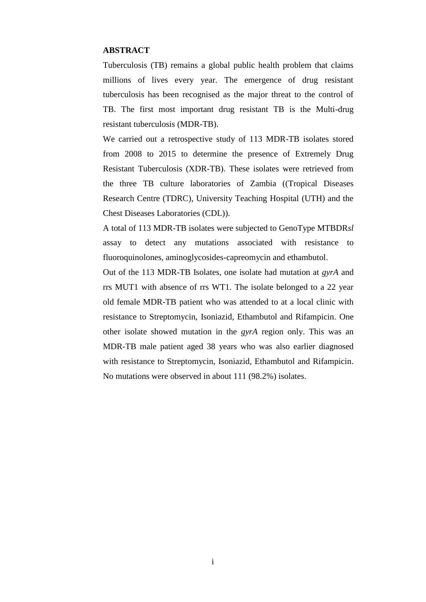#### <span id="page-1-0"></span>**ABSTRACT**

Tuberculosis (TB) remains a global public health problem that claims millions of lives every year. The emergence of drug resistant tuberculosis has been recognised as the major threat to the control of TB. The first most important drug resistant TB is the Multi-drug resistant tuberculosis (MDR-TB).

We carried out a retrospective study of 113 MDR-TB isolates stored from 2008 to 2015 to determine the presence of Extremely Drug Resistant Tuberculosis (XDR-TB). These isolates were retrieved from the three TB culture laboratories of Zambia ((Tropical Diseases Research Centre (TDRC), University Teaching Hospital (UTH) and the Chest Diseases Laboratories (CDL)).

A total of 113 MDR-TB isolates were subjected to GenoType MTBDR*sl*  assay to detect any mutations associated with resistance to fluoroquinolones, aminoglycosides-capreomycin and ethambutol.

Out of the 113 MDR-TB Isolates, one isolate had mutation at *gyrA* and rrs MUT1 with absence of rrs WT1. The isolate belonged to a 22 year old female MDR-TB patient who was attended to at a local clinic with resistance to Streptomycin, Isoniazid, Ethambutol and Rifampicin. One other isolate showed mutation in the *gyrA* region only. This was an MDR-TB male patient aged 38 years who was also earlier diagnosed with resistance to Streptomycin, Isoniazid, Ethambutol and Rifampicin. No mutations were observed in about 111 (98.2%) isolates.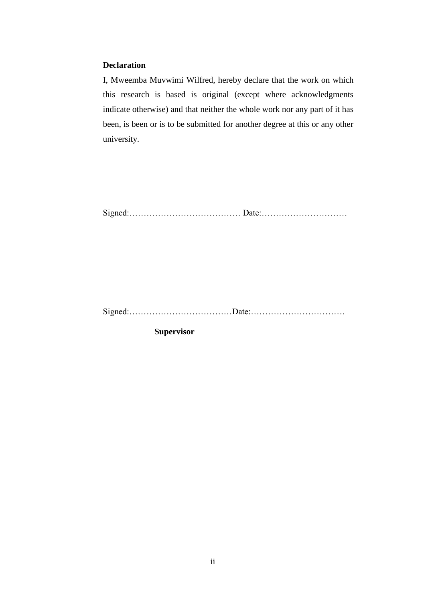## <span id="page-2-0"></span>**Declaration**

I, Mweemba Muvwimi Wilfred, hereby declare that the work on which this research is based is original (except where acknowledgments indicate otherwise) and that neither the whole work nor any part of it has been, is been or is to be submitted for another degree at this or any other university.

Signed:………………………………… Date:…………………………

Signed:………………………………Date:……………………………

**Supervisor**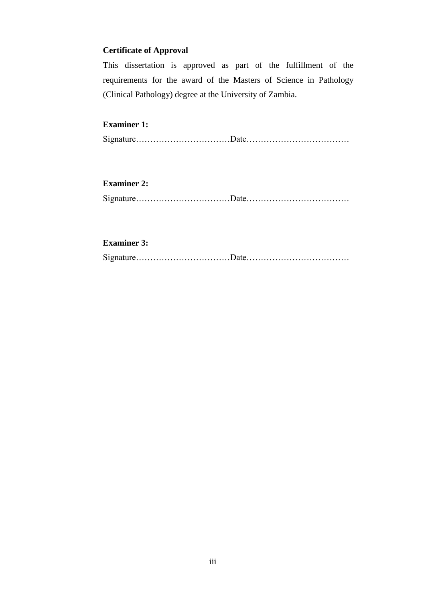## <span id="page-3-0"></span>**Certificate of Approval**

This dissertation is approved as part of the fulfillment of the requirements for the award of the Masters of Science in Pathology (Clinical Pathology) degree at the University of Zambia.

## **Examiner 1:**

Signature……………………………Date………………………………

## **Examiner 2:**

Signature……………………………Date………………………………

## **Examiner 3:**

Signature……………………………Date………………………………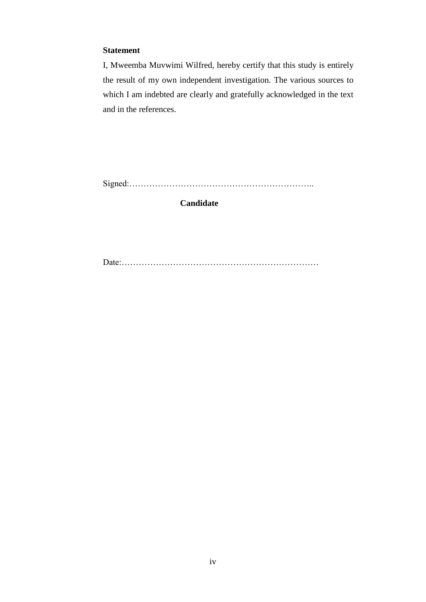## **Statement**

I, Mweemba Muvwimi Wilfred, hereby certify that this study is entirely the result of my own independent investigation. The various sources to which I am indebted are clearly and gratefully acknowledged in the text and in the references.

Signed:………………………………………………………..

**Candidate**

Date:……………………………………………………………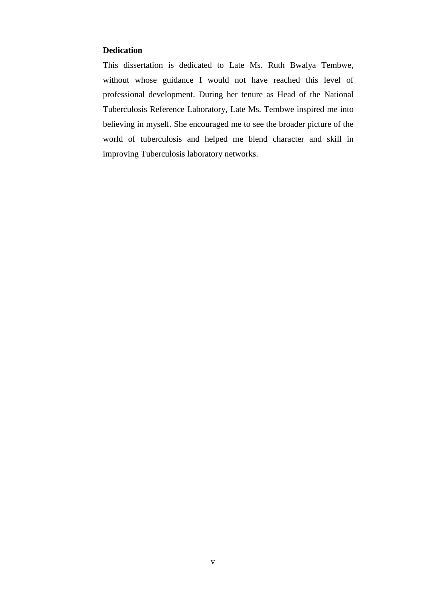## <span id="page-5-0"></span>**Dedication**

This dissertation is dedicated to Late Ms. Ruth Bwalya Tembwe, without whose guidance I would not have reached this level of professional development. During her tenure as Head of the National Tuberculosis Reference Laboratory, Late Ms. Tembwe inspired me into believing in myself. She encouraged me to see the broader picture of the world of tuberculosis and helped me blend character and skill in improving Tuberculosis laboratory networks.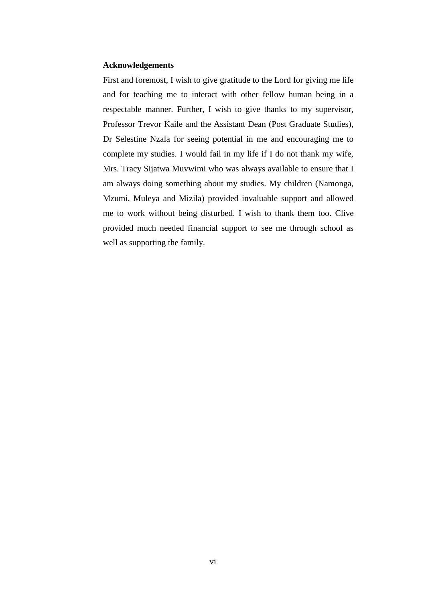#### <span id="page-6-0"></span>**Acknowledgements**

First and foremost, I wish to give gratitude to the Lord for giving me life and for teaching me to interact with other fellow human being in a respectable manner. Further, I wish to give thanks to my supervisor, Professor Trevor Kaile and the Assistant Dean (Post Graduate Studies), Dr Selestine Nzala for seeing potential in me and encouraging me to complete my studies. I would fail in my life if I do not thank my wife, Mrs. Tracy Sijatwa Muvwimi who was always available to ensure that I am always doing something about my studies. My children (Namonga, Mzumi, Muleya and Mizila) provided invaluable support and allowed me to work without being disturbed. I wish to thank them too. Clive provided much needed financial support to see me through school as well as supporting the family.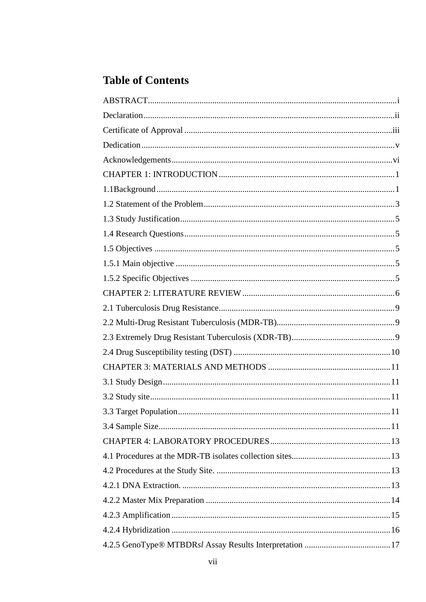## **Table of Contents**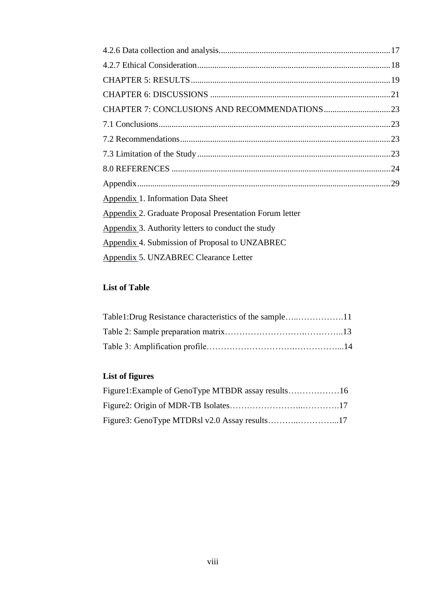| Appendix 1. Information Data Sheet                      |  |
|---------------------------------------------------------|--|
| Appendix 2. Graduate Proposal Presentation Forum letter |  |
| Appendix 3. Authority letters to conduct the study      |  |
| Appendix 4. Submission of Proposal to UNZABREC          |  |
| Appendix 5. UNZABREC Clearance Letter                   |  |

## **List of Table**

## **List of figures**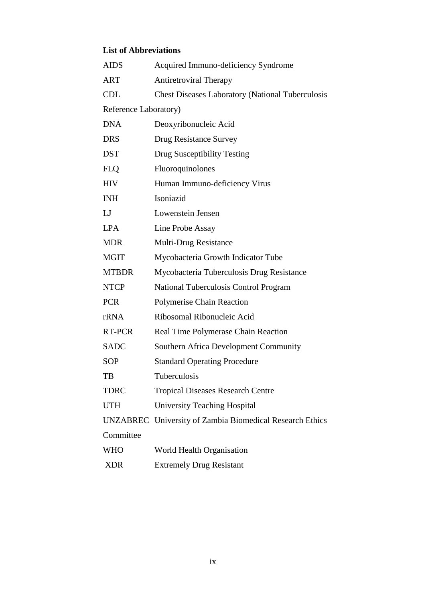## **List of Abbreviations**

| <b>AIDS</b>           | Acquired Immuno-deficiency Syndrome                      |  |  |
|-----------------------|----------------------------------------------------------|--|--|
| <b>ART</b>            | <b>Antiretroviral Therapy</b>                            |  |  |
| <b>CDL</b>            | <b>Chest Diseases Laboratory (National Tuberculosis</b>  |  |  |
| Reference Laboratory) |                                                          |  |  |
| <b>DNA</b>            | Deoxyribonucleic Acid                                    |  |  |
| <b>DRS</b>            | Drug Resistance Survey                                   |  |  |
| <b>DST</b>            | Drug Susceptibility Testing                              |  |  |
| <b>FLQ</b>            | Fluoroquinolones                                         |  |  |
| <b>HIV</b>            | Human Immuno-deficiency Virus                            |  |  |
| <b>INH</b>            | Isoniazid                                                |  |  |
| LJ                    | Lowenstein Jensen                                        |  |  |
| <b>LPA</b>            | Line Probe Assay                                         |  |  |
| <b>MDR</b>            | Multi-Drug Resistance                                    |  |  |
| <b>MGIT</b>           | Mycobacteria Growth Indicator Tube                       |  |  |
| <b>MTBDR</b>          | Mycobacteria Tuberculosis Drug Resistance                |  |  |
| <b>NTCP</b>           | <b>National Tuberculosis Control Program</b>             |  |  |
| <b>PCR</b>            | Polymerise Chain Reaction                                |  |  |
| rRNA                  | Ribosomal Ribonucleic Acid                               |  |  |
| RT-PCR                | Real Time Polymerase Chain Reaction                      |  |  |
| <b>SADC</b>           | <b>Southern Africa Development Community</b>             |  |  |
| <b>SOP</b>            | <b>Standard Operating Procedure</b>                      |  |  |
| TВ                    | Tuberculosis                                             |  |  |
| <b>TDRC</b>           | <b>Tropical Diseases Research Centre</b>                 |  |  |
| <b>UTH</b>            | <b>University Teaching Hospital</b>                      |  |  |
|                       | UNZABREC University of Zambia Biomedical Research Ethics |  |  |
| Committee             |                                                          |  |  |
| <b>WHO</b>            | World Health Organisation                                |  |  |
| <b>XDR</b>            | <b>Extremely Drug Resistant</b>                          |  |  |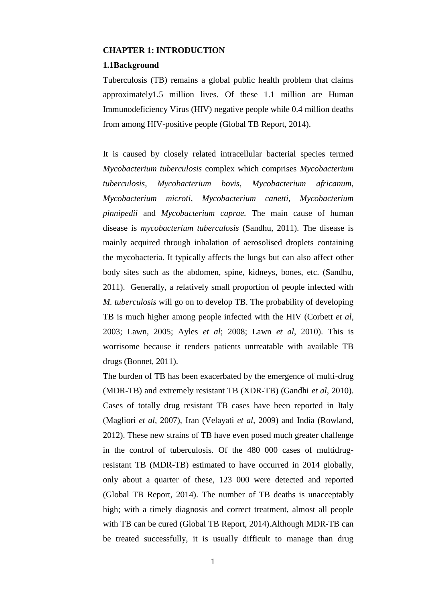#### <span id="page-10-0"></span>**CHAPTER 1: INTRODUCTION**

#### <span id="page-10-1"></span>**1.1Background**

Tuberculosis (TB) remains a global public health problem that claims approximately1.5 million lives. Of these 1.1 million are Human Immunodeficiency Virus (HIV) negative people while 0.4 million deaths from among HIV-positive people (Global TB Report, 2014).

It is caused by closely related intracellular bacterial species termed *Mycobacterium tuberculosis* complex which comprises *Mycobacterium tuberculosis*, *Mycobacterium bovis*, *Mycobacterium africanum*, *Mycobacterium microti*, *Mycobacterium canetti, Mycobacterium pinnipedii* and *Mycobacterium caprae.* The main cause of human disease is *mycobacterium tuberculosis* (Sandhu, 2011). The disease is mainly acquired through inhalation of aerosolised droplets containing the mycobacteria. It typically affects the lungs but can also affect other body sites such as the abdomen, spine, kidneys, bones, etc. (Sandhu, 2011). Generally, a relatively small proportion of people infected with *M. tuberculosis* will go on to develop TB. The probability of developing TB is much higher among people infected with the HIV (Corbett *et al,* 2003; Lawn, 2005; Ayles *et al*; 2008; Lawn *et al*, 2010). This is worrisome because it renders patients untreatable with available TB drugs (Bonnet, 2011).

The burden of TB has been exacerbated by the emergence of multi-drug (MDR-TB) and extremely resistant TB (XDR-TB) (Gandhi *et al*, 2010). Cases of totally drug resistant TB cases have been reported in Italy (Magliori *et al,* 2007), Iran (Velayati *et al,* 2009) and India (Rowland, 2012). These new strains of TB have even posed much greater challenge in the control of tuberculosis. Of the 480 000 cases of multidrugresistant TB (MDR-TB) estimated to have occurred in 2014 globally, only about a quarter of these, 123 000 were detected and reported (Global TB Report, 2014). The number of TB deaths is unacceptably high; with a timely diagnosis and correct treatment, almost all people with TB can be cured (Global TB Report, 2014).Although MDR-TB can be treated successfully, it is usually difficult to manage than drug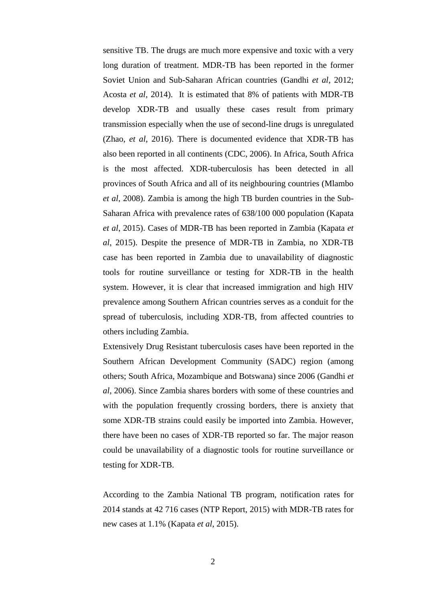sensitive TB. The drugs are much more expensive and toxic with a very long duration of treatment. MDR-TB has been reported in the former Soviet Union and Sub-Saharan African countries (Gandhi *et al*, 2012; Acosta *et al*, 2014). It is estimated that 8% of patients with MDR-TB develop XDR-TB and usually these cases result from primary transmission especially when the use of second-line drugs is unregulated (Zhao, *et al*, 2016). There is documented evidence that XDR-TB has also been reported in all continents (CDC, 2006). In Africa, South Africa is the most affected. XDR-tuberculosis has been detected in all provinces of South Africa and all of its neighbouring countries (Mlambo *et al*, 2008). Zambia is among the high TB burden countries in the Sub-Saharan Africa with prevalence rates of 638/100 000 population (Kapata *et al*, 2015). Cases of MDR-TB has been reported in Zambia (Kapata *et al*, 2015). Despite the presence of MDR-TB in Zambia, no XDR-TB case has been reported in Zambia due to unavailability of diagnostic tools for routine surveillance or testing for XDR-TB in the health system. However, it is clear that increased immigration and high HIV prevalence among Southern African countries serves as a conduit for the spread of tuberculosis, including XDR-TB, from affected countries to others including Zambia.

Extensively Drug Resistant tuberculosis cases have been reported in the Southern African Development Community (SADC) region (among others; South Africa, Mozambique and Botswana) since 2006 (Gandhi *et al*, 2006). Since Zambia shares borders with some of these countries and with the population frequently crossing borders, there is anxiety that some XDR-TB strains could easily be imported into Zambia. However, there have been no cases of XDR-TB reported so far. The major reason could be unavailability of a diagnostic tools for routine surveillance or testing for XDR-TB.

<span id="page-11-0"></span>According to the Zambia National TB program, notification rates for 2014 stands at 42 716 cases (NTP Report, 2015) with MDR-TB rates for new cases at 1.1% (Kapata *et al*, 2015).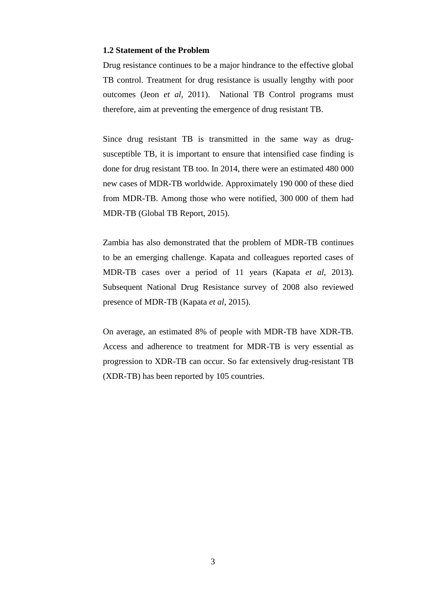#### **1.2 Statement of the Problem**

Drug resistance continues to be a major hindrance to the effective global TB control. Treatment for drug resistance is usually lengthy with poor outcomes (Jeon *et al*, 2011). National TB Control programs must therefore, aim at preventing the emergence of drug resistant TB.

Since drug resistant TB is transmitted in the same way as drugsusceptible TB, it is important to ensure that intensified case finding is done for drug resistant TB too. In 2014, there were an estimated 480 000 new cases of MDR-TB worldwide. Approximately 190 000 of these died from MDR-TB. Among those who were notified, 300 000 of them had MDR-TB (Global TB Report, 2015).

Zambia has also demonstrated that the problem of MDR-TB continues to be an emerging challenge. Kapata and colleagues reported cases of MDR-TB cases over a period of 11 years (Kapata *et al*, 2013). Subsequent National Drug Resistance survey of 2008 also reviewed presence of MDR-TB (Kapata *et al*, 2015).

On average, an estimated 8% of people with MDR-TB have XDR-TB. Access and adherence to treatment for MDR-TB is very essential as progression to XDR-TB can occur. So far extensively drug-resistant TB (XDR-TB) has been reported by 105 countries.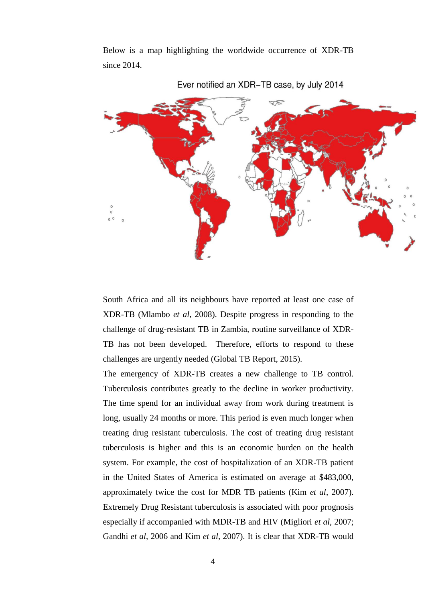

Below is a map highlighting the worldwide occurrence of XDR-TB since 2014.

South Africa and all its neighbours have reported at least one case of XDR-TB (Mlambo *et al*, 2008). Despite progress in responding to the challenge of drug-resistant TB in Zambia, routine surveillance of XDR-TB has not been developed. Therefore, efforts to respond to these challenges are urgently needed (Global TB Report, 2015).

Ever notified an XDR-TB case, by July 2014

The emergency of XDR-TB creates a new challenge to TB control. Tuberculosis contributes greatly to the decline in worker productivity. The time spend for an individual away from work during treatment is long, usually 24 months or more. This period is even much longer when treating drug resistant tuberculosis. The cost of treating drug resistant tuberculosis is higher and this is an economic burden on the health system. For example, the cost of hospitalization of an XDR-TB patient in the United States of America is estimated on average at \$483,000, approximately twice the cost for MDR TB patients (Kim *et al*, 2007). Extremely Drug Resistant tuberculosis is associated with poor prognosis especially if accompanied with MDR-TB and HIV (Migliori *et al*, 2007; Gandhi *et al*, 2006 and Kim *et al*, 2007). It is clear that XDR-TB would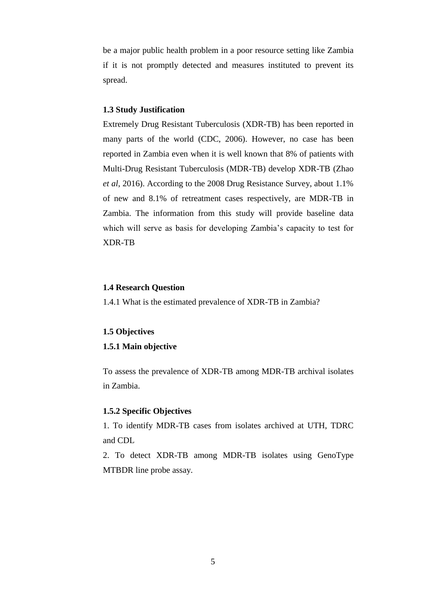be a major public health problem in a poor resource setting like Zambia if it is not promptly detected and measures instituted to prevent its spread.

#### <span id="page-14-0"></span>**1.3 Study Justification**

Extremely Drug Resistant Tuberculosis (XDR-TB) has been reported in many parts of the world (CDC, 2006). However, no case has been reported in Zambia even when it is well known that 8% of patients with Multi-Drug Resistant Tuberculosis (MDR-TB) develop XDR-TB (Zhao *et al*, 2016). According to the 2008 Drug Resistance Survey, about 1.1% of new and 8.1% of retreatment cases respectively, are MDR-TB in Zambia. The information from this study will provide baseline data which will serve as basis for developing Zambia's capacity to test for XDR-TB

#### <span id="page-14-1"></span>**1.4 Research Question**

1.4.1 What is the estimated prevalence of XDR-TB in Zambia?

#### <span id="page-14-2"></span>**1.5 Objectives**

#### <span id="page-14-3"></span>**1.5.1 Main objective**

To assess the prevalence of XDR-TB among MDR-TB archival isolates in Zambia.

## <span id="page-14-4"></span>**1.5.2 Specific Objectives**

1. To identify MDR-TB cases from isolates archived at UTH, TDRC and CDL

2. To detect XDR-TB among MDR-TB isolates using GenoType MTBDR line probe assay.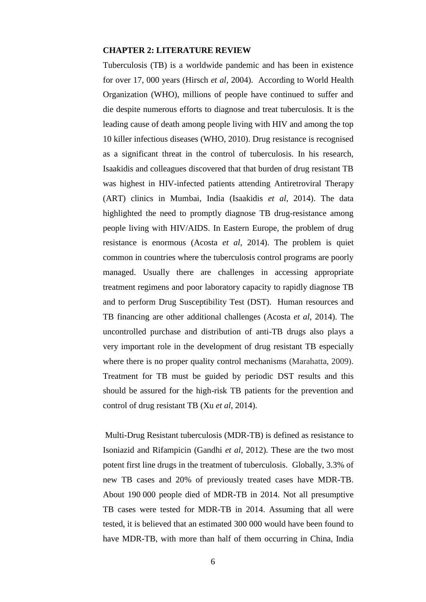## <span id="page-15-0"></span>**CHAPTER 2: LITERATURE REVIEW**

Tuberculosis (TB) is a worldwide pandemic and has been in existence for over 17, 000 years (Hirsch *et al*, 2004). According to World Health Organization (WHO), millions of people have continued to suffer and die despite numerous efforts to diagnose and treat tuberculosis. It is the leading cause of death among people living with HIV and among the top 10 killer infectious diseases (WHO, 2010). Drug resistance is recognised as a significant threat in the control of tuberculosis. In his research, Isaakidis and colleagues discovered that that burden of drug resistant TB was highest in HIV-infected patients attending Antiretroviral Therapy (ART) clinics in Mumbai, India (Isaakidis *et al*, 2014). The data highlighted the need to promptly diagnose TB drug-resistance among people living with HIV/AIDS. In Eastern Europe, the problem of drug resistance is enormous (Acosta *et al*, 2014). The problem is quiet common in countries where the tuberculosis control programs are poorly managed. Usually there are challenges in accessing appropriate treatment regimens and poor laboratory capacity to rapidly diagnose TB and to perform Drug Susceptibility Test (DST). Human resources and TB financing are other additional challenges (Acosta *et al*, 2014). The uncontrolled purchase and distribution of anti-TB drugs also plays a very important role in the development of drug resistant TB especially where there is no proper quality control mechanisms (Marahatta, 2009). Treatment for TB must be guided by periodic DST results and this should be assured for the high-risk TB patients for the prevention and control of drug resistant TB (Xu *et al*, 2014).

Multi-Drug Resistant tuberculosis (MDR-TB) is defined as resistance to Isoniazid and Rifampicin (Gandhi *et al*, 2012). These are the two most potent first line drugs in the treatment of tuberculosis. Globally, 3.3% of new TB cases and 20% of previously treated cases have MDR-TB. About 190 000 people died of MDR-TB in 2014. Not all presumptive TB cases were tested for MDR-TB in 2014. Assuming that all were tested, it is believed that an estimated 300 000 would have been found to have MDR-TB, with more than half of them occurring in China, India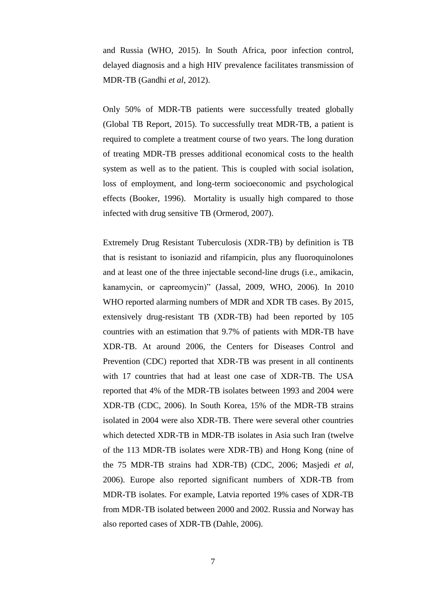and Russia (WHO, 2015). In South Africa, poor infection control, delayed diagnosis and a high HIV prevalence facilitates transmission of MDR-TB (Gandhi *et al*, 2012).

Only 50% of MDR-TB patients were successfully treated globally (Global TB Report, 2015). To successfully treat MDR-TB, a patient is required to complete a treatment course of two years. The long duration of treating MDR-TB presses additional economical costs to the health system as well as to the patient. This is coupled with social isolation, loss of employment, and long-term socioeconomic and psychological effects (Booker, 1996). Mortality is usually high compared to those infected with drug sensitive TB (Ormerod, 2007).

Extremely Drug Resistant Tuberculosis (XDR-TB) by definition is TB that is resistant to isoniazid and rifampicin, plus any fluoroquinolones and at least one of the three injectable second-line drugs (i.e., amikacin, kanamycin, or capreomycin)" (Jassal, 2009, WHO, 2006). In 2010 WHO reported alarming numbers of MDR and XDR TB cases. By 2015, extensively drug-resistant TB (XDR-TB) had been reported by 105 countries with an estimation that 9.7% of patients with MDR-TB have XDR-TB. At around 2006, the Centers for Diseases Control and Prevention (CDC) reported that XDR-TB was present in all continents with 17 countries that had at least one case of XDR-TB. The USA reported that 4% of the MDR-TB isolates between 1993 and 2004 were XDR-TB (CDC, 2006). In South Korea, 15% of the MDR-TB strains isolated in 2004 were also XDR-TB. There were several other countries which detected XDR-TB in MDR-TB isolates in Asia such Iran (twelve of the 113 MDR-TB isolates were XDR-TB) and Hong Kong (nine of the 75 MDR-TB strains had XDR-TB) (CDC, 2006; Masjedi *et al*, 2006). Europe also reported significant numbers of XDR-TB from MDR-TB isolates. For example, Latvia reported 19% cases of XDR-TB from MDR-TB isolated between 2000 and 2002. Russia and Norway has also reported cases of XDR-TB (Dahle, 2006).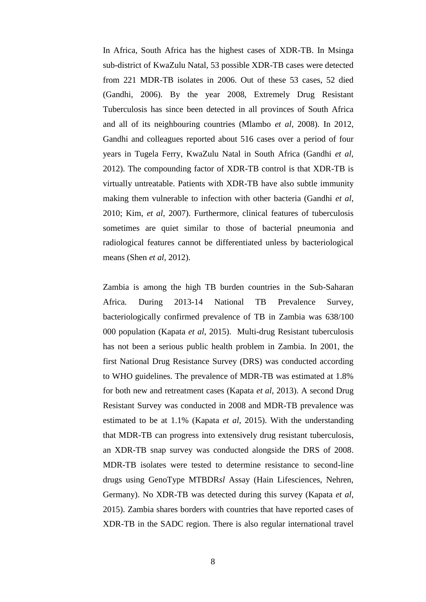In Africa, South Africa has the highest cases of XDR-TB. In Msinga sub-district of KwaZulu Natal, 53 possible XDR-TB cases were detected from 221 MDR-TB isolates in 2006. Out of these 53 cases, 52 died (Gandhi, 2006). By the year 2008, Extremely Drug Resistant Tuberculosis has since been detected in all provinces of South Africa and all of its neighbouring countries (Mlambo *et al*, 2008). In 2012, Gandhi and colleagues reported about 516 cases over a period of four years in Tugela Ferry, KwaZulu Natal in South Africa (Gandhi *et al*, 2012). The compounding factor of XDR-TB control is that XDR-TB is virtually untreatable. Patients with XDR-TB have also subtle immunity making them vulnerable to infection with other bacteria (Gandhi *et al*, 2010; Kim, *et al*, 2007). Furthermore, clinical features of tuberculosis sometimes are quiet similar to those of bacterial pneumonia and radiological features cannot be differentiated unless by bacteriological means (Shen *et al*, 2012).

Zambia is among the high TB burden countries in the Sub-Saharan Africa. During 2013-14 National TB Prevalence Survey, bacteriologically confirmed prevalence of TB in Zambia was 638/100 000 population (Kapata *et al*, 2015). Multi-drug Resistant tuberculosis has not been a serious public health problem in Zambia. In 2001, the first National Drug Resistance Survey (DRS) was conducted according to WHO guidelines. The prevalence of MDR-TB was estimated at 1.8% for both new and retreatment cases (Kapata *et al*, 2013). A second Drug Resistant Survey was conducted in 2008 and MDR-TB prevalence was estimated to be at 1.1% (Kapata *et al*, 2015). With the understanding that MDR-TB can progress into extensively drug resistant tuberculosis, an XDR-TB snap survey was conducted alongside the DRS of 2008. MDR-TB isolates were tested to determine resistance to second-line drugs using GenoType MTBDR*sl* Assay (Hain Lifesciences, Nehren, Germany). No XDR-TB was detected during this survey (Kapata *et al*, 2015). Zambia shares borders with countries that have reported cases of XDR-TB in the SADC region. There is also regular international travel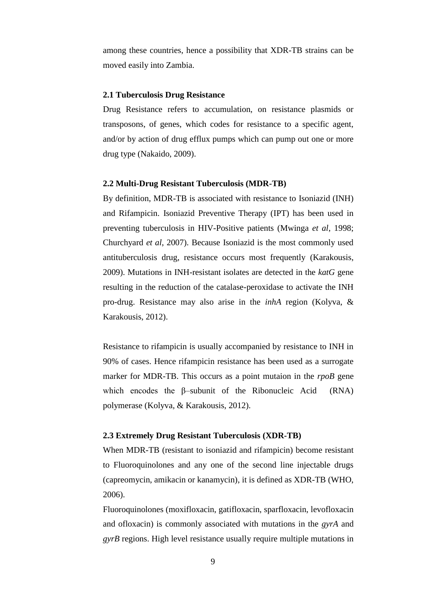among these countries, hence a possibility that XDR-TB strains can be moved easily into Zambia.

#### <span id="page-18-0"></span>**2.1 Tuberculosis Drug Resistance**

Drug Resistance refers to accumulation, on resistance plasmids or transposons, of genes, which codes for resistance to a specific agent, and/or by action of drug efflux pumps which can pump out one or more drug type (Nakaido, 2009).

#### <span id="page-18-1"></span>**2.2 Multi-Drug Resistant Tuberculosis (MDR-TB)**

By definition, MDR-TB is associated with resistance to Isoniazid (INH) and Rifampicin. Isoniazid Preventive Therapy (IPT) has been used in preventing tuberculosis in HIV-Positive patients (Mwinga *et al*, 1998; Churchyard *et al*, 2007). Because Isoniazid is the most commonly used antituberculosis drug, resistance occurs most frequently (Karakousis, 2009). Mutations in INH-resistant isolates are detected in the *katG* gene resulting in the reduction of the catalase-peroxidase to activate the INH pro-drug. Resistance may also arise in the *inhA* region (Kolyva, & Karakousis, 2012).

Resistance to rifampicin is usually accompanied by resistance to INH in 90% of cases. Hence rifampicin resistance has been used as a surrogate marker for MDR-TB. This occurs as a point mutaion in the *rpoB* gene which encodes the β–subunit of the Ribonucleic Acid (RNA) polymerase (Kolyva, & Karakousis, 2012).

#### <span id="page-18-2"></span>**2.3 Extremely Drug Resistant Tuberculosis (XDR-TB)**

When MDR-TB (resistant to isoniazid and rifampicin) become resistant to Fluoroquinolones and any one of the second line injectable drugs (capreomycin, amikacin or kanamycin), it is defined as XDR-TB (WHO, 2006).

Fluoroquinolones (moxifloxacin, gatifloxacin, sparfloxacin, levofloxacin and ofloxacin) is commonly associated with mutations in the *gyrA* and *gyrB* regions. High level resistance usually require multiple mutations in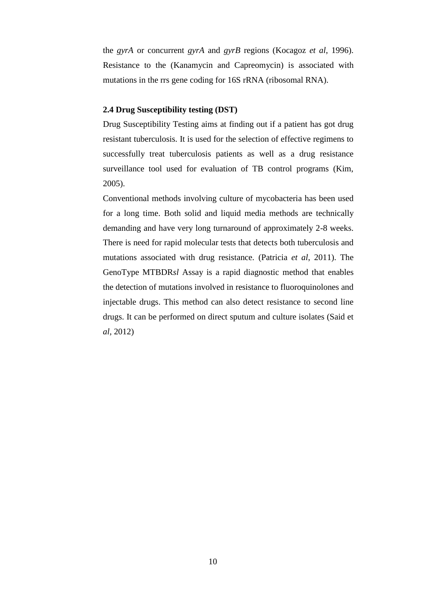the *gyrA* or concurrent *gyrA* and *gyrB* regions (Kocagoz *et al*, 1996). Resistance to the (Kanamycin and Capreomycin) is associated with mutations in the rrs gene coding for 16S rRNA (ribosomal RNA).

## <span id="page-19-0"></span>**2.4 Drug Susceptibility testing (DST)**

Drug Susceptibility Testing aims at finding out if a patient has got drug resistant tuberculosis. It is used for the selection of effective regimens to successfully treat tuberculosis patients as well as a drug resistance surveillance tool used for evaluation of TB control programs (Kim, 2005).

Conventional methods involving culture of mycobacteria has been used for a long time. Both solid and liquid media methods are technically demanding and have very long turnaround of approximately 2-8 weeks. There is need for rapid molecular tests that detects both tuberculosis and mutations associated with drug resistance. (Patricia *et al*, 2011). The GenoType MTBDR*sl* Assay is a rapid diagnostic method that enables the detection of mutations involved in resistance to fluoroquinolones and injectable drugs. This method can also detect resistance to second line drugs. It can be performed on direct sputum and culture isolates (Said et *al,* 2012)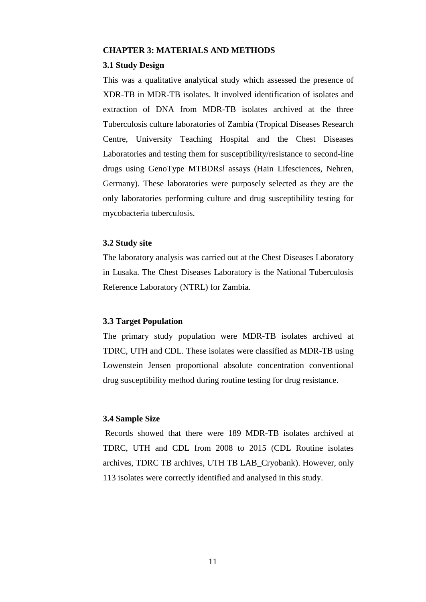#### <span id="page-20-0"></span>**CHAPTER 3: MATERIALS AND METHODS**

#### <span id="page-20-1"></span>**3.1 Study Design**

This was a qualitative analytical study which assessed the presence of XDR-TB in MDR-TB isolates. It involved identification of isolates and extraction of DNA from MDR-TB isolates archived at the three Tuberculosis culture laboratories of Zambia (Tropical Diseases Research Centre, University Teaching Hospital and the Chest Diseases Laboratories and testing them for susceptibility/resistance to second-line drugs using GenoType MTBDR*sl* assays (Hain Lifesciences, Nehren, Germany). These laboratories were purposely selected as they are the only laboratories performing culture and drug susceptibility testing for mycobacteria tuberculosis.

#### <span id="page-20-2"></span>**3.2 Study site**

The laboratory analysis was carried out at the Chest Diseases Laboratory in Lusaka. The Chest Diseases Laboratory is the National Tuberculosis Reference Laboratory (NTRL) for Zambia.

#### <span id="page-20-3"></span>**3.3 Target Population**

The primary study population were MDR-TB isolates archived at TDRC, UTH and CDL. These isolates were classified as MDR-TB using Lowenstein Jensen proportional absolute concentration conventional drug susceptibility method during routine testing for drug resistance.

#### <span id="page-20-4"></span>**3.4 Sample Size**

Records showed that there were 189 MDR-TB isolates archived at TDRC, UTH and CDL from 2008 to 2015 (CDL Routine isolates archives, TDRC TB archives, UTH TB LAB\_Cryobank). However, only 113 isolates were correctly identified and analysed in this study.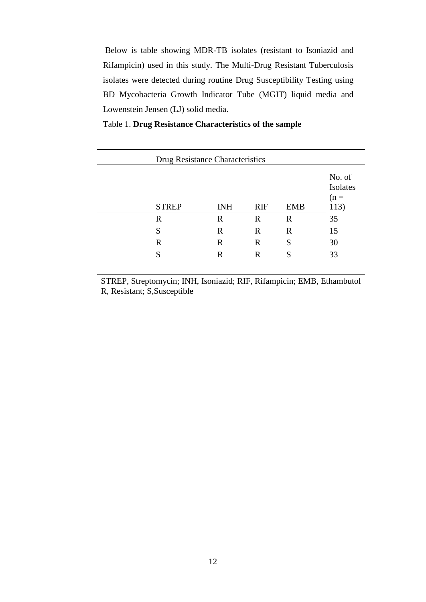Below is table showing MDR-TB isolates (resistant to Isoniazid and Rifampicin) used in this study. The Multi-Drug Resistant Tuberculosis isolates were detected during routine Drug Susceptibility Testing using BD Mycobacteria Growth Indicator Tube (MGIT) liquid media and Lowenstein Jensen (LJ) solid media.

|  | Table 1. Drug Resistance Characteristics of the sample |  |  |
|--|--------------------------------------------------------|--|--|
|  |                                                        |  |  |

| Drug Resistance Characteristics |              |             |             |            |                             |
|---------------------------------|--------------|-------------|-------------|------------|-----------------------------|
|                                 |              |             |             |            | No. of<br>Isolates<br>$(n=$ |
|                                 | <b>STREP</b> | <b>INH</b>  | <b>RIF</b>  | <b>EMB</b> | 113)                        |
|                                 | R            | R           | R           | R          | 35                          |
|                                 | S            | $\mathbf R$ | R           | R          | 15                          |
|                                 | R            | $\mathbf R$ | $\mathbf R$ | S          | 30                          |
|                                 | S            | R           | R           | S          | 33                          |
|                                 |              |             |             |            |                             |

STREP, Streptomycin; INH, Isoniazid; RIF, Rifampicin; EMB, Ethambutol R, Resistant; S,Susceptible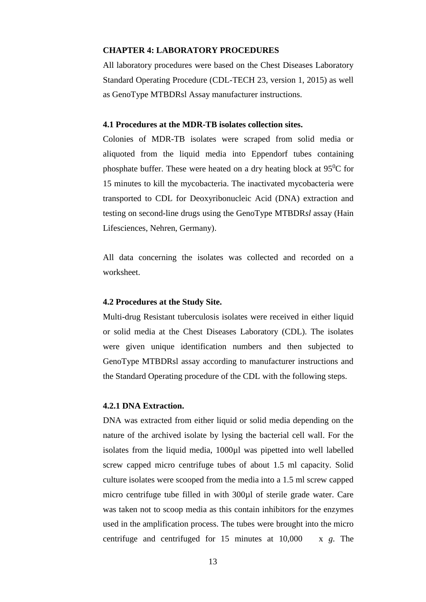#### <span id="page-22-0"></span>**CHAPTER 4: LABORATORY PROCEDURES**

All laboratory procedures were based on the Chest Diseases Laboratory Standard Operating Procedure (CDL-TECH 23, version 1, 2015) as well as GenoType MTBDRsl Assay manufacturer instructions.

#### <span id="page-22-1"></span>**4.1 Procedures at the MDR-TB isolates collection sites.**

Colonies of MDR-TB isolates were scraped from solid media or aliquoted from the liquid media into Eppendorf tubes containing phosphate buffer. These were heated on a dry heating block at  $95^{\circ}$ C for 15 minutes to kill the mycobacteria. The inactivated mycobacteria were transported to CDL for Deoxyribonucleic Acid (DNA) extraction and testing on second-line drugs using the GenoType MTBDR*sl* assay (Hain Lifesciences, Nehren, Germany).

All data concerning the isolates was collected and recorded on a worksheet.

## <span id="page-22-2"></span>**4.2 Procedures at the Study Site.**

Multi-drug Resistant tuberculosis isolates were received in either liquid or solid media at the Chest Diseases Laboratory (CDL). The isolates were given unique identification numbers and then subjected to GenoType MTBDRsl assay according to manufacturer instructions and the Standard Operating procedure of the CDL with the following steps.

#### <span id="page-22-3"></span>**4.2.1 DNA Extraction.**

DNA was extracted from either liquid or solid media depending on the nature of the archived isolate by lysing the bacterial cell wall. For the isolates from the liquid media, 1000µl was pipetted into well labelled screw capped micro centrifuge tubes of about 1.5 ml capacity. Solid culture isolates were scooped from the media into a 1.5 ml screw capped micro centrifuge tube filled in with 300µl of sterile grade water. Care was taken not to scoop media as this contain inhibitors for the enzymes used in the amplification process. The tubes were brought into the micro centrifuge and centrifuged for 15 minutes at 10,000 x *g*. The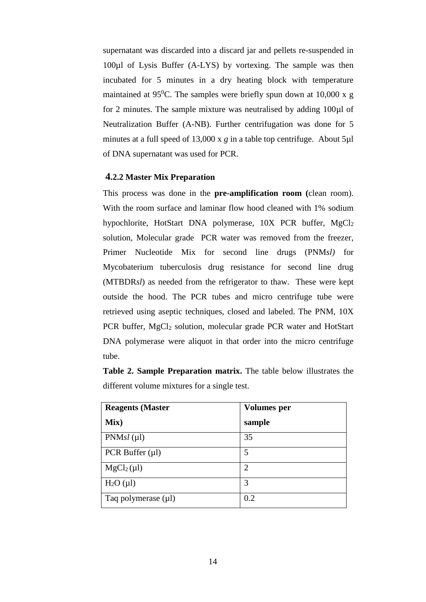supernatant was discarded into a discard jar and pellets re-suspended in 100µl of Lysis Buffer (A-LYS) by vortexing. The sample was then incubated for 5 minutes in a dry heating block with temperature maintained at 95<sup>0</sup>C. The samples were briefly spun down at 10,000 x g for 2 minutes. The sample mixture was neutralised by adding 100µl of Neutralization Buffer (A-NB). Further centrifugation was done for 5 minutes at a full speed of 13,000 x *g* in a table top centrifuge. About 5µl of DNA supernatant was used for PCR.

#### <span id="page-23-0"></span>**4.2.2 Master Mix Preparation**

This process was done in the **pre-amplification room (**clean room). With the room surface and laminar flow hood cleaned with 1% sodium hypochlorite, HotStart DNA polymerase,  $10X$  PCR buffer, MgCl<sub>2</sub> solution, Molecular grade PCR water was removed from the freezer, Primer Nucleotide Mix for second line drugs (PNM*sl)* for Mycobaterium tuberculosis drug resistance for second line drug (MTBDR*sl*) as needed from the refrigerator to thaw. These were kept outside the hood. The PCR tubes and micro centrifuge tube were retrieved using aseptic techniques, closed and labeled. The PNM, 10X PCR buffer, MgCl<sub>2</sub> solution, molecular grade PCR water and HotStart DNA polymerase were aliquot in that order into the micro centrifuge tube.

**Table 2. Sample Preparation matrix.** The table below illustrates the different volume mixtures for a single test.

| <b>Reagents (Master</b> | <b>Volumes</b> per |
|-------------------------|--------------------|
| Mix)                    | sample             |
| $PNMsl(\mu l)$          | 35                 |
| PCR Buffer $(\mu l)$    | 5                  |
| $MgCl2(\mu l)$          | $\overline{2}$     |
| H <sub>2</sub> O (µl)   | 3                  |
| Taq polymerase (µl)     | 0.2                |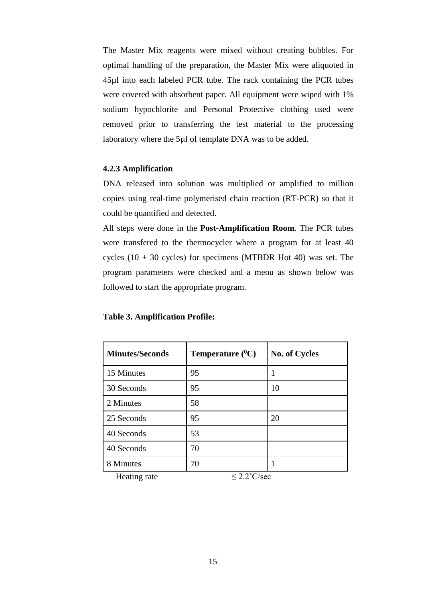The Master Mix reagents were mixed without creating bubbles. For optimal handling of the preparation, the Master Mix were aliquoted in 45µl into each labeled PCR tube. The rack containing the PCR tubes were covered with absorbent paper. All equipment were wiped with 1% sodium hypochlorite and Personal Protective clothing used were removed prior to transferring the test material to the processing laboratory where the 5µl of template DNA was to be added.

## <span id="page-24-0"></span>**4.2.3 Amplification**

DNA released into solution was multiplied or amplified to million copies using real-time polymerised chain reaction (RT-PCR) so that it could be quantified and detected.

All steps were done in the **Post-Amplification Room**. The PCR tubes were transfered to the thermocycler where a program for at least 40 cycles  $(10 + 30$  cycles) for specimens (MTBDR Hot 40) was set. The program parameters were checked and a menu as shown below was followed to start the appropriate program.

| <b>Minutes/Seconds</b> | Temperature $(^0C)$ | <b>No. of Cycles</b> |
|------------------------|---------------------|----------------------|
| 15 Minutes             | 95                  |                      |
| 30 Seconds             | 95                  | 10                   |
| 2 Minutes              | 58                  |                      |
| 25 Seconds             | 95                  | 20                   |
| 40 Seconds             | 53                  |                      |
| 40 Seconds             | 70                  |                      |
| 8 Minutes              | 70                  |                      |

#### **Table 3. Amplification Profile:**

<span id="page-24-1"></span>Heating rate  $\leq 2.2^{\circ}$ C/sec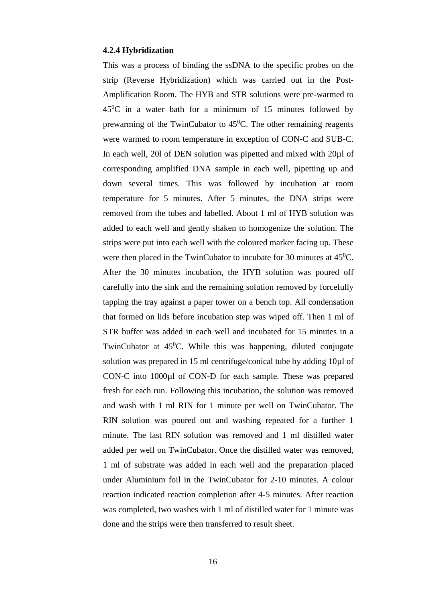#### **4.2.4 Hybridization**

<span id="page-25-0"></span>This was a process of binding the ssDNA to the specific probes on the strip (Reverse Hybridization) which was carried out in the Post-Amplification Room. The HYB and STR solutions were pre-warmed to  $45^{\circ}$ C in a water bath for a minimum of 15 minutes followed by prewarming of the TwinCubator to  $45^{\circ}$ C. The other remaining reagents were warmed to room temperature in exception of CON-C and SUB-C. In each well, 20l of DEN solution was pipetted and mixed with 20µl of corresponding amplified DNA sample in each well, pipetting up and down several times. This was followed by incubation at room temperature for 5 minutes. After 5 minutes, the DNA strips were removed from the tubes and labelled. About 1 ml of HYB solution was added to each well and gently shaken to homogenize the solution. The strips were put into each well with the coloured marker facing up. These were then placed in the TwinCubator to incubate for 30 minutes at  $45^{\circ}$ C. After the 30 minutes incubation, the HYB solution was poured off carefully into the sink and the remaining solution removed by forcefully tapping the tray against a paper tower on a bench top. All condensation that formed on lids before incubation step was wiped off. Then 1 ml of STR buffer was added in each well and incubated for 15 minutes in a TwinCubator at  $45^{\circ}$ C. While this was happening, diluted conjugate solution was prepared in 15 ml centrifuge/conical tube by adding 10µl of CON-C into 1000µl of CON-D for each sample. These was prepared fresh for each run. Following this incubation, the solution was removed and wash with 1 ml RIN for 1 minute per well on TwinCubator. The RIN solution was poured out and washing repeated for a further 1 minute. The last RIN solution was removed and 1 ml distilled water added per well on TwinCubator. Once the distilled water was removed, 1 ml of substrate was added in each well and the preparation placed under Aluminium foil in the TwinCubator for 2-10 minutes. A colour reaction indicated reaction completion after 4-5 minutes. After reaction was completed, two washes with 1 ml of distilled water for 1 minute was done and the strips were then transferred to result sheet.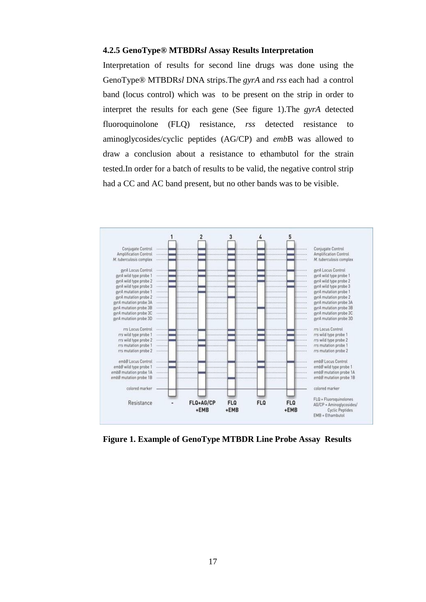#### **4.2.5 GenoType® MTBDR***sl* **Assay Results Interpretation**

Interpretation of results for second line drugs was done using the GenoType® MTBDR*sl* DNA strips.The *gyrA* and *rss* each had a control band (locus control) which was to be present on the strip in order to interpret the results for each gene (See figure 1).The *gyrA* detected fluoroquinolone (FLQ) resistance*, rss* detected resistance to aminoglycosides/cyclic peptides (AG/CP) and *emb*B was allowed to draw a conclusion about a resistance to ethambutol for the strain tested.In order for a batch of results to be valid, the negative control strip had a CC and AC band present, but no other bands was to be visible.



<span id="page-26-0"></span>**Figure 1. Example of GenoType MTBDR Line Probe Assay Results**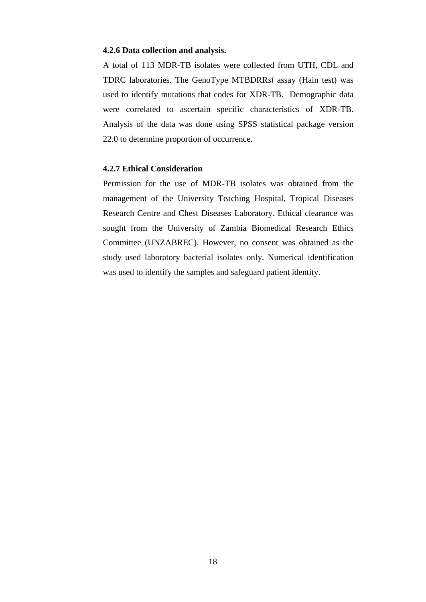#### **4.2.6 Data collection and analysis.**

A total of 113 MDR-TB isolates were collected from UTH, CDL and TDRC laboratories. The GenoType MTBDRR*sl* assay (Hain test) was used to identify mutations that codes for XDR-TB. Demographic data were correlated to ascertain specific characteristics of XDR-TB. Analysis of the data was done using SPSS statistical package version 22.0 to determine proportion of occurrence.

## <span id="page-27-0"></span>**4.2.7 Ethical Consideration**

Permission for the use of MDR-TB isolates was obtained from the management of the University Teaching Hospital, Tropical Diseases Research Centre and Chest Diseases Laboratory. Ethical clearance was sought from the University of Zambia Biomedical Research Ethics Committee (UNZABREC). However, no consent was obtained as the study used laboratory bacterial isolates only. Numerical identification was used to identify the samples and safeguard patient identity.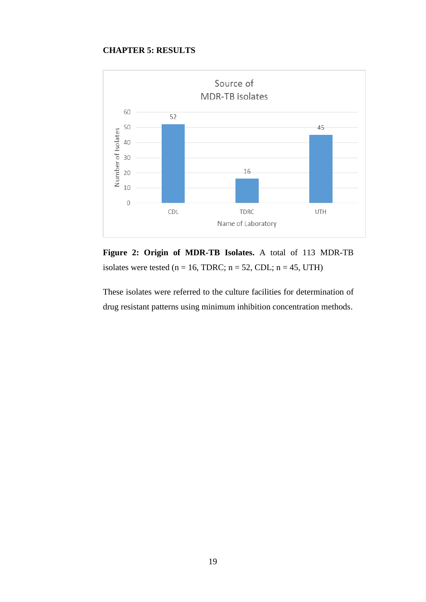## **CHAPTER 5: RESULTS**

<span id="page-28-0"></span>

**Figure 2: Origin of MDR-TB Isolates.** A total of 113 MDR-TB isolates were tested ( $n = 16$ , TDRC;  $n = 52$ , CDL;  $n = 45$ , UTH)

These isolates were referred to the culture facilities for determination of drug resistant patterns using minimum inhibition concentration methods.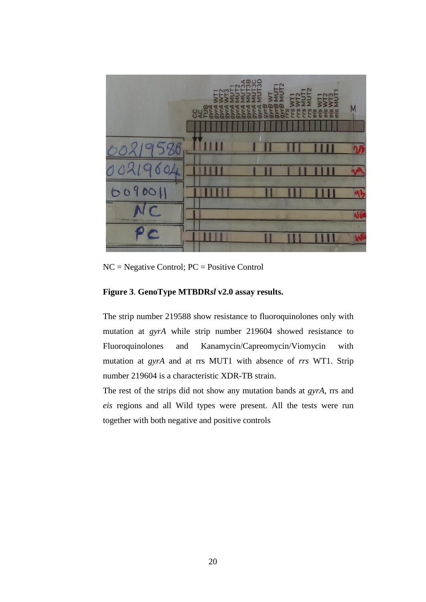

NC = Negative Control; PC = Positive Control

## **Figure 3**. **GenoType MTBDR***sl* **v2.0 assay results.**

The strip number 219588 show resistance to fluoroquinolones only with mutation at *gyrA* while strip number 219604 showed resistance to Fluoroquinolones and Kanamycin/Capreomycin/Viomycin with mutation at *gyrA* and at rrs MUT1 with absence of *rrs* WT1. Strip number 219604 is a characteristic XDR-TB strain.

The rest of the strips did not show any mutation bands at *gyrA*, rrs and *eis* regions and all Wild types were present. All the tests were run together with both negative and positive controls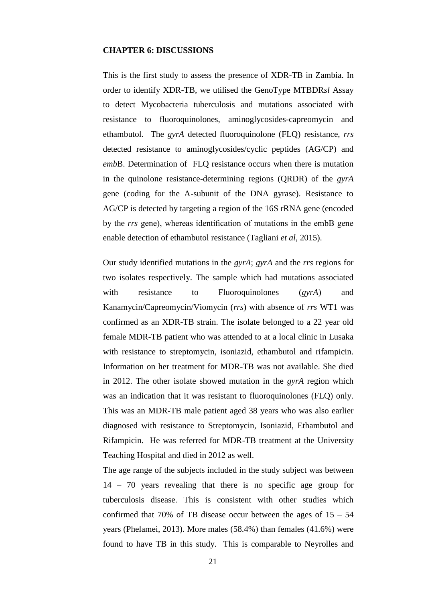#### <span id="page-30-0"></span>**CHAPTER 6: DISCUSSIONS**

This is the first study to assess the presence of XDR-TB in Zambia. In order to identify XDR-TB, we utilised the GenoType MTBDR*sl* Assay to detect Mycobacteria tuberculosis and mutations associated with resistance to fluoroquinolones, aminoglycosides-capreomycin and ethambutol. The *gyrA* detected fluoroquinolone (FLQ) resistance, *rrs* detected resistance to aminoglycosides/cyclic peptides (AG/CP) and *emb*B. Determination of FLQ resistance occurs when there is mutation in the quinolone resistance-determining regions (QRDR) of the *gyrA* gene (coding for the A-subunit of the DNA gyrase). Resistance to AG/CP is detected by targeting a region of the 16S rRNA gene (encoded by the *rrs* gene), whereas identification of mutations in the embB gene enable detection of ethambutol resistance (Tagliani *et al*, 2015).

Our study identified mutations in the *gyrA*; *gyrA* and the *rrs* regions for two isolates respectively. The sample which had mutations associated with resistance to Fluoroquinolones (*gyrA*) and Kanamycin/Capreomycin/Viomycin (*rrs*) with absence of *rrs* WT1 was confirmed as an XDR-TB strain. The isolate belonged to a 22 year old female MDR-TB patient who was attended to at a local clinic in Lusaka with resistance to streptomycin, isoniazid, ethambutol and rifampicin. Information on her treatment for MDR-TB was not available. She died in 2012. The other isolate showed mutation in the *gyrA* region which was an indication that it was resistant to fluoroquinolones (FLQ) only. This was an MDR-TB male patient aged 38 years who was also earlier diagnosed with resistance to Streptomycin, Isoniazid, Ethambutol and Rifampicin. He was referred for MDR-TB treatment at the University Teaching Hospital and died in 2012 as well.

The age range of the subjects included in the study subject was between 14 – 70 years revealing that there is no specific age group for tuberculosis disease. This is consistent with other studies which confirmed that 70% of TB disease occur between the ages of  $15 - 54$ years (Phelamei, 2013). More males (58.4%) than females (41.6%) were found to have TB in this study. This is comparable to Neyrolles and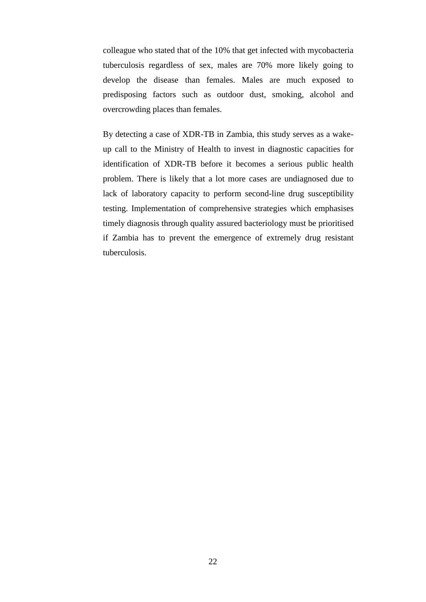colleague who stated that of the 10% that get infected with mycobacteria tuberculosis regardless of sex, males are 70% more likely going to develop the disease than females. Males are much exposed to predisposing factors such as outdoor dust, smoking, alcohol and overcrowding places than females.

By detecting a case of XDR-TB in Zambia, this study serves as a wakeup call to the Ministry of Health to invest in diagnostic capacities for identification of XDR-TB before it becomes a serious public health problem. There is likely that a lot more cases are undiagnosed due to lack of laboratory capacity to perform second-line drug susceptibility testing. Implementation of comprehensive strategies which emphasises timely diagnosis through quality assured bacteriology must be prioritised if Zambia has to prevent the emergence of extremely drug resistant tuberculosis.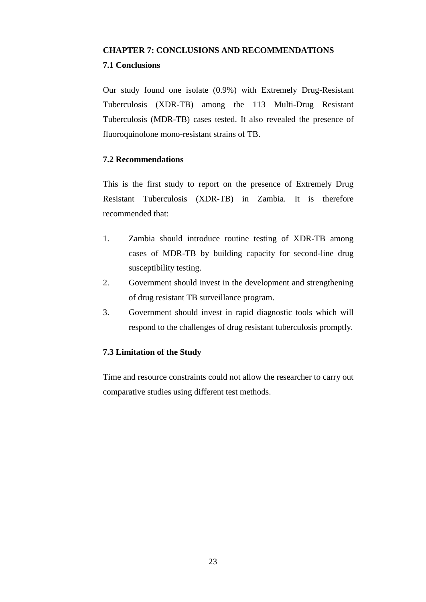## <span id="page-32-1"></span><span id="page-32-0"></span>**CHAPTER 7: CONCLUSIONS AND RECOMMENDATIONS 7.1 Conclusions**

Our study found one isolate (0.9%) with Extremely Drug-Resistant Tuberculosis (XDR-TB) among the 113 Multi-Drug Resistant Tuberculosis (MDR-TB) cases tested. It also revealed the presence of fluoroquinolone mono-resistant strains of TB.

## <span id="page-32-2"></span>**7.2 Recommendations**

This is the first study to report on the presence of Extremely Drug Resistant Tuberculosis (XDR-TB) in Zambia. It is therefore recommended that:

- 1. Zambia should introduce routine testing of XDR-TB among cases of MDR-TB by building capacity for second-line drug susceptibility testing.
- 2. Government should invest in the development and strengthening of drug resistant TB surveillance program.
- 3. Government should invest in rapid diagnostic tools which will respond to the challenges of drug resistant tuberculosis promptly.

## <span id="page-32-3"></span>**7.3 Limitation of the Study**

Time and resource constraints could not allow the researcher to carry out comparative studies using different test methods.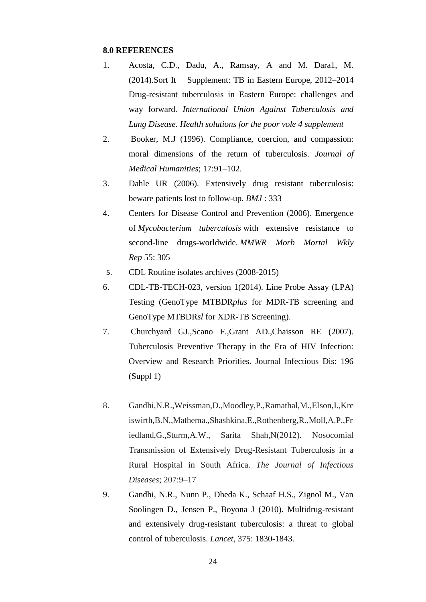#### <span id="page-33-0"></span>**8.0 REFERENCES**

- 1. Acosta, C.D., Dadu, A., Ramsay, A and M. Dara1, M. (2014).Sort It Supplement: TB in Eastern Europe, 2012–2014 Drug-resistant tuberculosis in Eastern Europe: challenges and way forward. *International Union Against Tuberculosis and Lung Disease. Health solutions for the poor vole 4 supplement*
- 2. Booker, M.J (1996). Compliance, coercion, and compassion: moral dimensions of the return of tuberculosis. *Journal of Medical Humanities*; 17:91–102.
- 3. Dahle UR (2006). Extensively drug resistant tuberculosis: beware patients lost to follow-up. *BMJ* : 333
- 4. Centers for Disease Control and Prevention (2006). Emergence of *Mycobacterium tuberculosis* with extensive resistance to second-line drugs-worldwide. *MMWR Morb Mortal Wkly Rep* 55: 305
- 5. CDL Routine isolates archives (2008-2015)
- 6. CDL-TB-TECH-023, version 1(2014). Line Probe Assay (LPA) Testing (GenoType MTBDR*plus* for MDR-TB screening and GenoType MTBDR*sl* for XDR-TB Screening).
- 7. Churchyard GJ.,Scano F.,Grant AD.,Chaisson RE (2007). Tuberculosis Preventive Therapy in the Era of HIV Infection: Overview and Research Priorities. Journal Infectious Dis: 196 (Suppl 1)
- 8. Gandhi,N.R.,Weissman,D.,Moodley,P.,Ramathal,M.,Elson,I.,Kre iswirth,B.N.,Mathema.,Shashkina,E.,Rothenberg,R.,Moll,A.P.,Fr iedland,G.,Sturm,A.W., Sarita Shah,N(2012). Nosocomial Transmission of Extensively Drug-Resistant Tuberculosis in a Rural Hospital in South Africa. *The Journal of Infectious Diseases*; 207:9–17
- 9. Gandhi, N.R., Nunn P., Dheda K., Schaaf H.S., Zignol M., Van Soolingen D., Jensen P., Boyona J (2010). Multidrug-resistant and extensively drug-resistant tuberculosis: a threat to global control of tuberculosis. *Lancet*, 375: 1830-1843.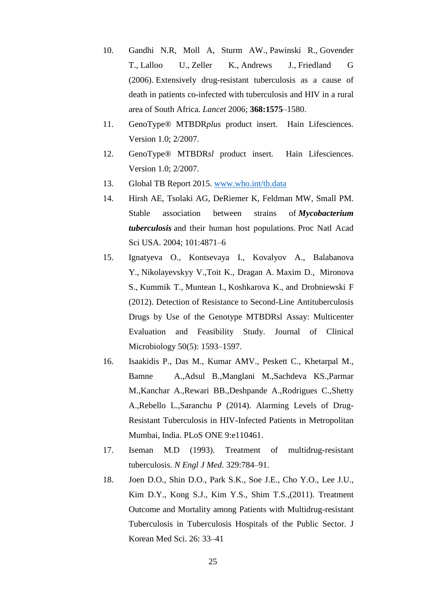- 10. Gandhi N.R, Moll A, Sturm AW., [Pawinski R.](https://www.ncbi.nlm.nih.gov/pubmed/?term=Pawinski%20R%5BAuthor%5D&cauthor=true&cauthor_uid=17084757), [Govender](https://www.ncbi.nlm.nih.gov/pubmed/?term=Govender%20T%5BAuthor%5D&cauthor=true&cauthor_uid=17084757)  [T.](https://www.ncbi.nlm.nih.gov/pubmed/?term=Govender%20T%5BAuthor%5D&cauthor=true&cauthor_uid=17084757), [Lalloo U.](https://www.ncbi.nlm.nih.gov/pubmed/?term=Lalloo%20U%5BAuthor%5D&cauthor=true&cauthor_uid=17084757), [Zeller K.](https://www.ncbi.nlm.nih.gov/pubmed/?term=Zeller%20K%5BAuthor%5D&cauthor=true&cauthor_uid=17084757), [Andrews J.](https://www.ncbi.nlm.nih.gov/pubmed/?term=Andrews%20J%5BAuthor%5D&cauthor=true&cauthor_uid=17084757), [Friedland G](https://www.ncbi.nlm.nih.gov/pubmed/?term=Friedland%20G%5BAuthor%5D&cauthor=true&cauthor_uid=17084757) (2006). Extensively drug-resistant tuberculosis as a cause of death in patients co-infected with tuberculosis and HIV in a rural area of South Africa. *Lancet* 2006; **368:1575**–1580.
- 11. GenoType® MTBDR*plus* product insert. Hain Lifesciences. Version 1.0; 2/2007.
- 12. GenoType® MTBDR*sl* product insert. Hain Lifesciences. Version 1.0; 2/2007.
- 13. Global TB Report 2015. [www.who.int/tb.data](http://www.who.int/tb.data)
- 14. Hirsh AE, Tsolaki AG, DeRiemer K, Feldman MW, Small PM. Stable association between strains of *Mycobacterium tuberculosis* and their human host populations. Proc Natl Acad Sci USA. 2004; 101:4871–6
- 15. Ignatyeva O., Kontsevaya I., Kovalyov A., [Balabanova](https://www.ncbi.nlm.nih.gov/pubmed/?term=Balabanova%20Y%5BAuthor%5D&cauthor=true&cauthor_uid=22378910) Y., [Nikolayevskyy](https://www.ncbi.nlm.nih.gov/pubmed/?term=Nikolayevskyy%20V%5BAuthor%5D&cauthor=true&cauthor_uid=22378910) V.[,Toit K., Dragan](https://www.ncbi.nlm.nih.gov/pubmed/?term=Dragan%20A%5BAuthor%5D&cauthor=true&cauthor_uid=22378910) A. [Maxim](https://www.ncbi.nlm.nih.gov/pubmed/?term=Maxim%20D%5BAuthor%5D&cauthor=true&cauthor_uid=22378910) D., [Mironova](https://www.ncbi.nlm.nih.gov/pubmed/?term=Mironova%20S%5BAuthor%5D&cauthor=true&cauthor_uid=22378910) S., [Kummik](https://www.ncbi.nlm.nih.gov/pubmed/?term=Kummik%20T%5BAuthor%5D&cauthor=true&cauthor_uid=22378910) T., [Muntean](https://www.ncbi.nlm.nih.gov/pubmed/?term=Muntean%20I%5BAuthor%5D&cauthor=true&cauthor_uid=22378910) I., [Koshkarova](https://www.ncbi.nlm.nih.gov/pubmed/?term=Koshkarova%20E%5BAuthor%5D&cauthor=true&cauthor_uid=22378910) K., and [Drobniewski](https://www.ncbi.nlm.nih.gov/pubmed/?term=Drobniewski%20F%5BAuthor%5D&cauthor=true&cauthor_uid=22378910) F (2012). Detection of Resistance to Second-Line Antituberculosis Drugs by Use of the Genotype MTBDRsl Assay: Multicenter Evaluation and Feasibility Study. Journal of Clinical Microbiology 50(5): 1593–1597.
- 16. Isaakidis P., Das M., Kumar AMV., Peskett C., Khetarpal M., Bamne A.,Adsul B.,Manglani M.,Sachdeva KS.,Parmar M.,Kanchar A.,Rewari BB.,Deshpande A.,Rodrigues C.,Shetty A.,Rebello L.,Saranchu P (2014). Alarming Levels of Drug-Resistant Tuberculosis in HIV-Infected Patients in Metropolitan Mumbai, India. PLoS ONE 9:e110461.
- 17. Iseman M.D (1993). Treatment of multidrug-resistant tuberculosis. *N Engl J Med*. 329:784–91.
- 18. Joen D.O., Shin D.O., Park S.K., Soe J.E., Cho Y.O., Lee J.U., Kim D.Y., Kong S.J., Kim Y.S., Shim T.S.,(2011). Treatment Outcome and Mortality among Patients with Multidrug-resistant Tuberculosis in Tuberculosis Hospitals of the Public Sector. J Korean Med Sci. 26: 33–41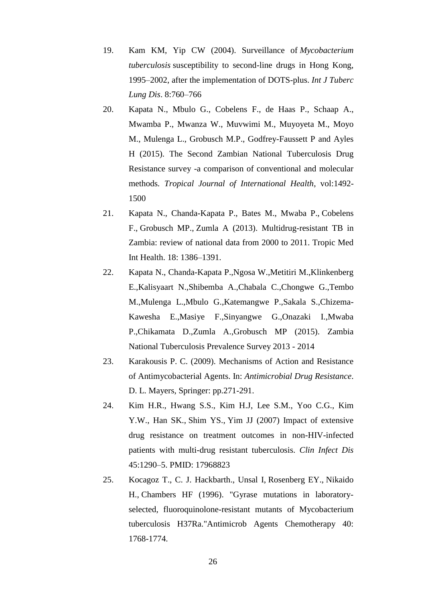- 19. Kam KM, Yip CW (2004). Surveillance of *Mycobacterium tuberculosis* susceptibility to second-line drugs in Hong Kong, 1995–2002, after the implementation of DOTS-plus. *Int J Tuberc Lung Dis*. 8:760–766
- 20. Kapata N., [Mbulo G.](http://www.ncbi.nlm.nih.gov/pubmed/?term=Mbulo%20G%5BAuthor%5D&cauthor=true&cauthor_uid=26224169), [Cobelens](http://www.ncbi.nlm.nih.gov/pubmed/?term=Cobelens%20F%5BAuthor%5D&cauthor=true&cauthor_uid=26224169) F., [de Haas P.](http://www.ncbi.nlm.nih.gov/pubmed/?term=de%20Haas%20P%5BAuthor%5D&cauthor=true&cauthor_uid=26224169), [Schaap A.](http://www.ncbi.nlm.nih.gov/pubmed/?term=Schaap%20A%5BAuthor%5D&cauthor=true&cauthor_uid=26224169), [Mwamba P.](http://www.ncbi.nlm.nih.gov/pubmed/?term=Mwamba%20P%5BAuthor%5D&cauthor=true&cauthor_uid=26224169), [Mwanza W.](http://www.ncbi.nlm.nih.gov/pubmed/?term=Mwanza%20W%5BAuthor%5D&cauthor=true&cauthor_uid=26224169), [Muvwimi M.](http://www.ncbi.nlm.nih.gov/pubmed/?term=Muvwimi%20M%5BAuthor%5D&cauthor=true&cauthor_uid=26224169), [Muyoyeta M.](http://www.ncbi.nlm.nih.gov/pubmed/?term=Muyoyeta%20M%5BAuthor%5D&cauthor=true&cauthor_uid=26224169), [Moyo](http://www.ncbi.nlm.nih.gov/pubmed/?term=Moyo%20M%5BAuthor%5D&cauthor=true&cauthor_uid=26224169)  [M.](http://www.ncbi.nlm.nih.gov/pubmed/?term=Moyo%20M%5BAuthor%5D&cauthor=true&cauthor_uid=26224169), [Mulenga](http://www.ncbi.nlm.nih.gov/pubmed/?term=Mulenga%20L%5BAuthor%5D&cauthor=true&cauthor_uid=26224169) L., [Grobusch M.P.](http://www.ncbi.nlm.nih.gov/pubmed/?term=Grobusch%20MP%5BAuthor%5D&cauthor=true&cauthor_uid=26224169), [Godfrey-Faussett P](http://www.ncbi.nlm.nih.gov/pubmed/?term=Godfrey-Faussett%20P%5BAuthor%5D&cauthor=true&cauthor_uid=26224169) and [Ayles](http://www.ncbi.nlm.nih.gov/pubmed/?term=Ayles%20H%5BAuthor%5D&cauthor=true&cauthor_uid=26224169)  [H](http://www.ncbi.nlm.nih.gov/pubmed/?term=Ayles%20H%5BAuthor%5D&cauthor=true&cauthor_uid=26224169) (2015). The Second Zambian National Tuberculosis Drug Resistance survey -a comparison of conventional and molecular methods*. Tropical Journal of International Health*, vol:1492- 1500
- 21. Kapata N., Chanda-Kapata P., Bates M., [Mwaba P.](https://www.ncbi.nlm.nih.gov/pubmed/?term=Mwaba%20P%5BAuthor%5D&cauthor=true&cauthor_uid=24033538), [Cobelens](https://www.ncbi.nlm.nih.gov/pubmed/?term=Cobelens%20F%5BAuthor%5D&cauthor=true&cauthor_uid=24033538)  [F.](https://www.ncbi.nlm.nih.gov/pubmed/?term=Cobelens%20F%5BAuthor%5D&cauthor=true&cauthor_uid=24033538), [Grobusch MP.](https://www.ncbi.nlm.nih.gov/pubmed/?term=Grobusch%20MP%5BAuthor%5D&cauthor=true&cauthor_uid=24033538), [Zumla A](https://www.ncbi.nlm.nih.gov/pubmed/?term=Zumla%20A%5BAuthor%5D&cauthor=true&cauthor_uid=24033538) (2013). Multidrug-resistant TB in Zambia: review of national data from 2000 to 2011. Tropic Med Int Health. 18: 1386–1391.
- 22. Kapata N., Chanda-Kapata P.,Ngosa W.,Metitiri M.,Klinkenberg E.,Kalisyaart N.,Shibemba A.,Chabala C.,Chongwe G.,Tembo M.,Mulenga L.,Mbulo G.,Katemangwe P.,Sakala S.,Chizema-Kawesha E.,Masiye F.,Sinyangwe G.,Onazaki I.,Mwaba P.,Chikamata D.,Zumla A.,Grobusch MP (2015). Zambia National Tuberculosis Prevalence Survey 2013 - 2014
- 23. Karakousis P. C. (2009). Mechanisms of Action and Resistance of Antimycobacterial Agents. In: *Antimicrobial Drug Resistance*. D. L. Mayers, Springer: pp.271-291.
- 24. Kim H.R., Hwang S.S., Kim H.J, Lee S.M., Yoo C.G., Kim Y.W., [Han SK.](https://www.ncbi.nlm.nih.gov/pubmed/?term=Han%20SK%5BAuthor%5D&cauthor=true&cauthor_uid=17968823), [Shim YS.](https://www.ncbi.nlm.nih.gov/pubmed/?term=Shim%20YS%5BAuthor%5D&cauthor=true&cauthor_uid=17968823), [Yim JJ](https://www.ncbi.nlm.nih.gov/pubmed/?term=Yim%20JJ%5BAuthor%5D&cauthor=true&cauthor_uid=17968823) (2007) Impact of extensive drug resistance on treatment outcomes in non-HIV-infected patients with multi-drug resistant tuberculosis. *Clin Infect Dis* 45:1290–5. PMID: 17968823
- 25. Kocagoz T., C. J. Hackbarth., [Unsal](https://www.ncbi.nlm.nih.gov/pubmed/?term=Unsal%20I%5BAuthor%5D&cauthor=true&cauthor_uid=8843279) I, [Rosenberg](https://www.ncbi.nlm.nih.gov/pubmed/?term=Rosenberg%20EY%5BAuthor%5D&cauthor=true&cauthor_uid=8843279) EY., [Nikaido](https://www.ncbi.nlm.nih.gov/pubmed/?term=Nikaido%20H%5BAuthor%5D&cauthor=true&cauthor_uid=8843279) H., [Chambers](https://www.ncbi.nlm.nih.gov/pubmed/?term=Chambers%20HF%5BAuthor%5D&cauthor=true&cauthor_uid=8843279) HF (1996). "Gyrase mutations in laboratoryselected, fluoroquinolone-resistant mutants of Mycobacterium tuberculosis H37Ra."Antimicrob Agents Chemotherapy 40: 1768-1774.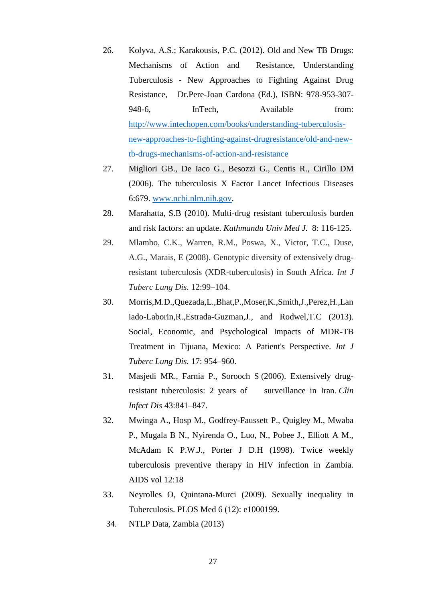- 26. Kolyva, A.S.; Karakousis, P.C. (2012). Old and New TB Drugs: Mechanisms of Action and Resistance, Understanding Tuberculosis - New Approaches to Fighting Against Drug Resistance, Dr.Pere-Joan Cardona (Ed.), ISBN: 978-953-307- 948-6, InTech, Available from: [http://www.intechopen.com/books/understanding-tuberculosis](http://www.intechopen.com/books/understanding-tuberculosis-new-approaches-to-fighting-against-drugresistance/old-and-new-tb-drugs-mechanisms-of-action-and-resistance)[new-approaches-to-fighting-against-drugresistance/old-and-new](http://www.intechopen.com/books/understanding-tuberculosis-new-approaches-to-fighting-against-drugresistance/old-and-new-tb-drugs-mechanisms-of-action-and-resistance)[tb-drugs-mechanisms-of-action-and-resistance](http://www.intechopen.com/books/understanding-tuberculosis-new-approaches-to-fighting-against-drugresistance/old-and-new-tb-drugs-mechanisms-of-action-and-resistance)
- 27. Migliori GB., De Iaco G., Besozzi G., Centis R., Cirillo DM (2006). The tuberculosis X Factor Lancet Infectious Diseases 6:679. [www.ncbi.nlm.nih.gov.](http://www.ncbi.nlm.nih.gov/)
- 28. Marahatta, S.B (2010). Multi-drug resistant tuberculosis burden and risk factors: an update. *Kathmandu Univ Med J.* 8: 116-125.
- 29. Mlambo, C.K., Warren, R.M., Poswa, X., Victor, T.C., Duse, A.G., Marais, E (2008). Genotypic diversity of extensively drugresistant tuberculosis (XDR-tuberculosis) in South Africa. *Int J Tuberc Lung Dis.* 12:99–104.
- 30. Morris,M.D.,Quezada,L.,Bhat,P.,Moser,K.,Smith,J.,Perez,H.,Lan iado-Laborin,R.,Estrada-Guzman,J., and Rodwel,T.C (2013). Social, Economic, and Psychological Impacts of MDR-TB Treatment in Tijuana, Mexico: A Patient's Perspective. *Int J Tuberc Lung Dis.* 17: 954–960.
- 31. Masjedi MR., Farnia P., Sorooch S (2006). Extensively drugresistant tuberculosis: 2 years of surveillance in Iran. *Clin Infect Dis* 43:841–847.
- 32. Mwinga A., Hosp M., Godfrey-Faussett P., Quigley M., Mwaba P., Mugala B N., Nyirenda O., Luo, N., Pobee J., Elliott A M., McAdam K P.W.J., Porter J D.H (1998). Twice weekly tuberculosis preventive therapy in HIV infection in Zambia. AIDS vol 12:18
- 33. Neyrolles O, Quintana-Murci (2009). Sexually inequality in Tuberculosis. PLOS Med 6 (12): e1000199.
- 34. NTLP Data, Zambia (2013)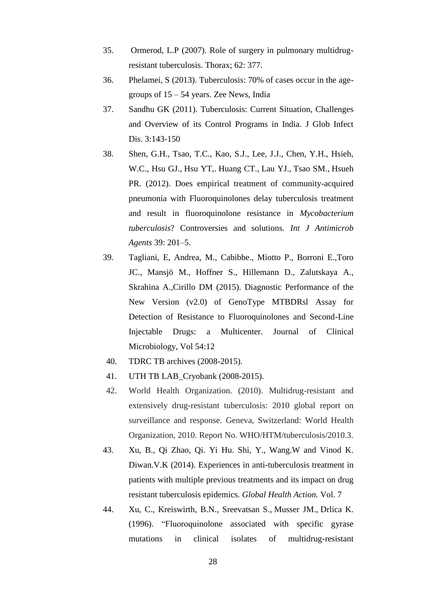- 35. Ormerod, L.P (2007). Role of surgery in pulmonary multidrugresistant tuberculosis. Thorax; 62: 377.
- 36. Phelamei, S (2013). Tuberculosis: 70% of cases occur in the agegroups of 15 – 54 years. Zee News, India
- 37. Sandhu GK (2011). Tuberculosis: Current Situation, Challenges and Overview of its Control Programs in India. J Glob Infect Dis. 3:143-150
- 38. Shen, G.H., Tsao, T.C., Kao, S.J., Lee, J.J., Chen, Y.H., Hsieh, W.C., [Hsu GJ.](https://www.ncbi.nlm.nih.gov/pubmed/?term=Hsu%20GJ%5BAuthor%5D&cauthor=true&cauthor_uid=22285045), [Hsu YT,](https://www.ncbi.nlm.nih.gov/pubmed/?term=Hsu%20YT%5BAuthor%5D&cauthor=true&cauthor_uid=22285045). [Huang CT.](https://www.ncbi.nlm.nih.gov/pubmed/?term=Huang%20CT%5BAuthor%5D&cauthor=true&cauthor_uid=22285045), [Lau YJ.](https://www.ncbi.nlm.nih.gov/pubmed/?term=Lau%20YJ%5BAuthor%5D&cauthor=true&cauthor_uid=22285045), [Tsao SM.](https://www.ncbi.nlm.nih.gov/pubmed/?term=Tsao%20SM%5BAuthor%5D&cauthor=true&cauthor_uid=22285045), [Hsueh](https://www.ncbi.nlm.nih.gov/pubmed/?term=Hsueh%20PR%5BAuthor%5D&cauthor=true&cauthor_uid=22285045)  [PR.](https://www.ncbi.nlm.nih.gov/pubmed/?term=Hsueh%20PR%5BAuthor%5D&cauthor=true&cauthor_uid=22285045) (2012). Does empirical treatment of community-acquired pneumonia with Fluoroquinolones delay tuberculosis treatment and result in fluoroquinolone resistance in *Mycobacterium tuberculosis*? Controversies and solutions*. Int J Antimicrob Agents* 39: 201–5.
- 39. Tagliani, E, Andrea, M., Cabibbe., Miotto P., Borroni E.,Toro JC., Mansjö M., Hoffner S., Hillemann D., Zalutskaya A., Skrahina A.,Cirillo DM (2015). Diagnostic Performance of the New Version (v2.0) of GenoType MTBDRsl Assay for Detection of Resistance to Fluoroquinolones and Second-Line Injectable Drugs: a Multicenter. Journal of Clinical Microbiology, Vol 54:12
- 40. TDRC TB archives (2008-2015).
- 41. UTH TB LAB\_Cryobank (2008-2015).
- 42. World Health Organization. (2010). Multidrug-resistant and extensively drug-resistant tuberculosis: 2010 global report on surveillance and response. Geneva, Switzerland: World Health Organization, 2010. Report No. WHO/HTM/tuberculosis/2010.3.
- 43. Xu, B., Qi Zhao, Qi. Yi Hu. Shi, Y., Wang.W and Vinod K. Diwan.V.K (2014). Experiences in anti-tuberculosis treatment in patients with multiple previous treatments and its impact on drug resistant tuberculosis epidemics*. Global Health Action.* Vol. 7
- 44. Xu, C., Kreiswirth, B.N., [Sreevatsan S.](https://www.ncbi.nlm.nih.gov/pubmed/?term=Sreevatsan%20S%5BAuthor%5D&cauthor=true&cauthor_uid=8896523), [Musser JM.](https://www.ncbi.nlm.nih.gov/pubmed/?term=Musser%20JM%5BAuthor%5D&cauthor=true&cauthor_uid=8896523), [Drlica K.](https://www.ncbi.nlm.nih.gov/pubmed/?term=Drlica%20K%5BAuthor%5D&cauthor=true&cauthor_uid=8896523) (1996). "Fluoroquinolone associated with specific gyrase mutations in clinical isolates of multidrug-resistant